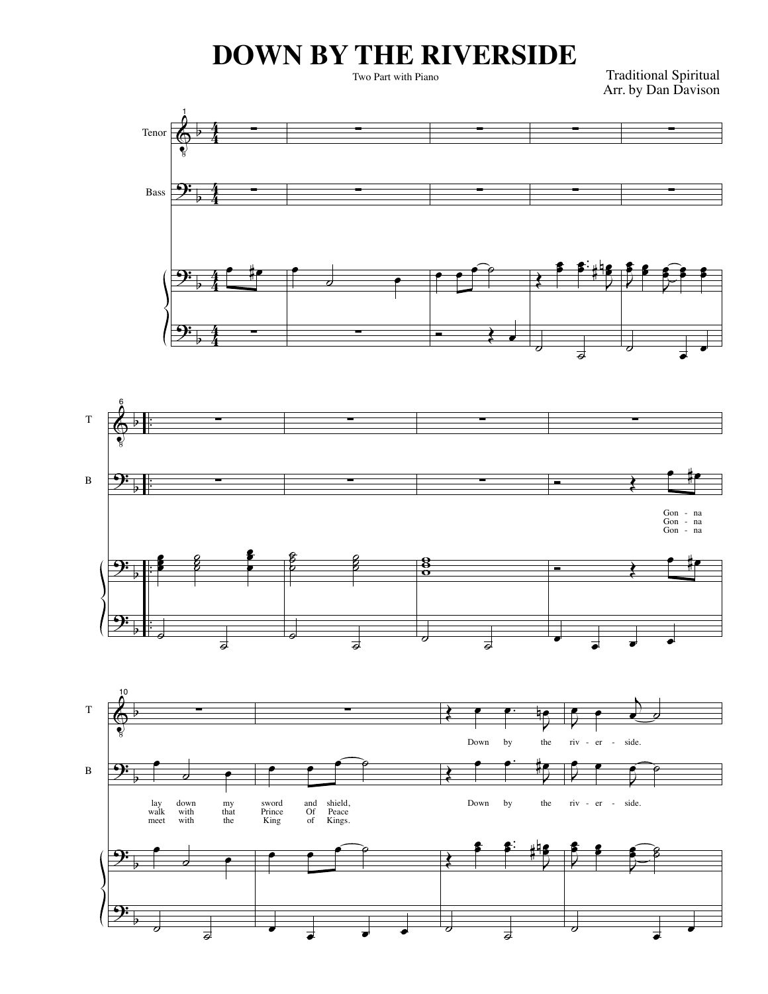## **DOWN BY THE RIVERSIDE**

Two Part with Piano

Traditional Spiritual Arr. by Dan Davison





T

B

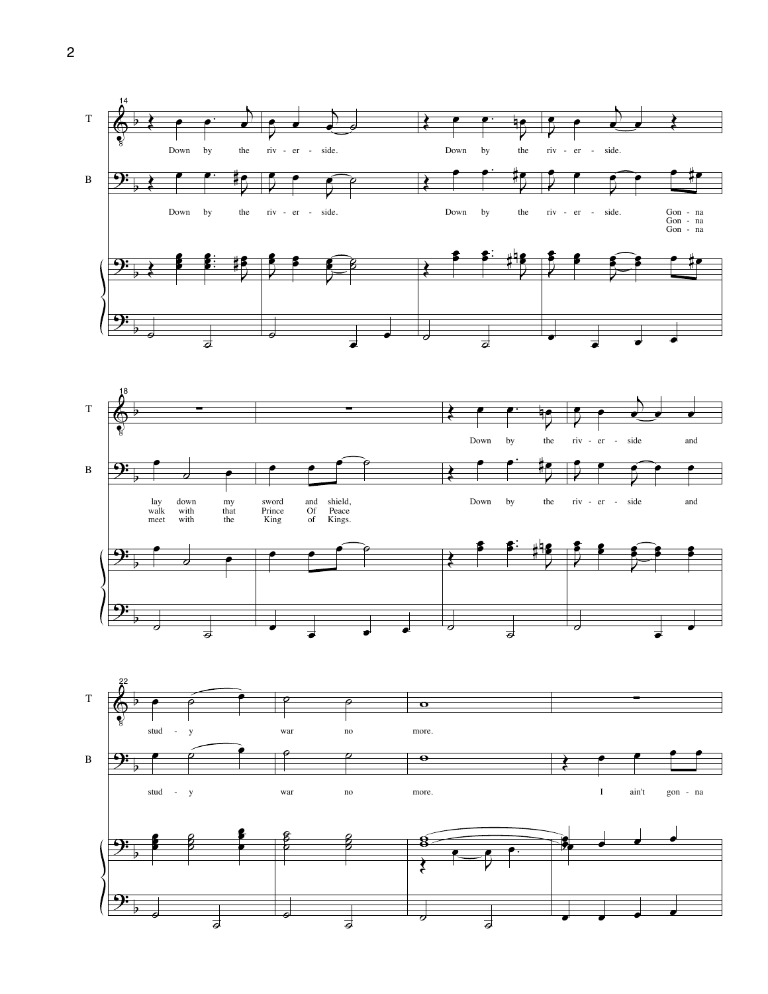



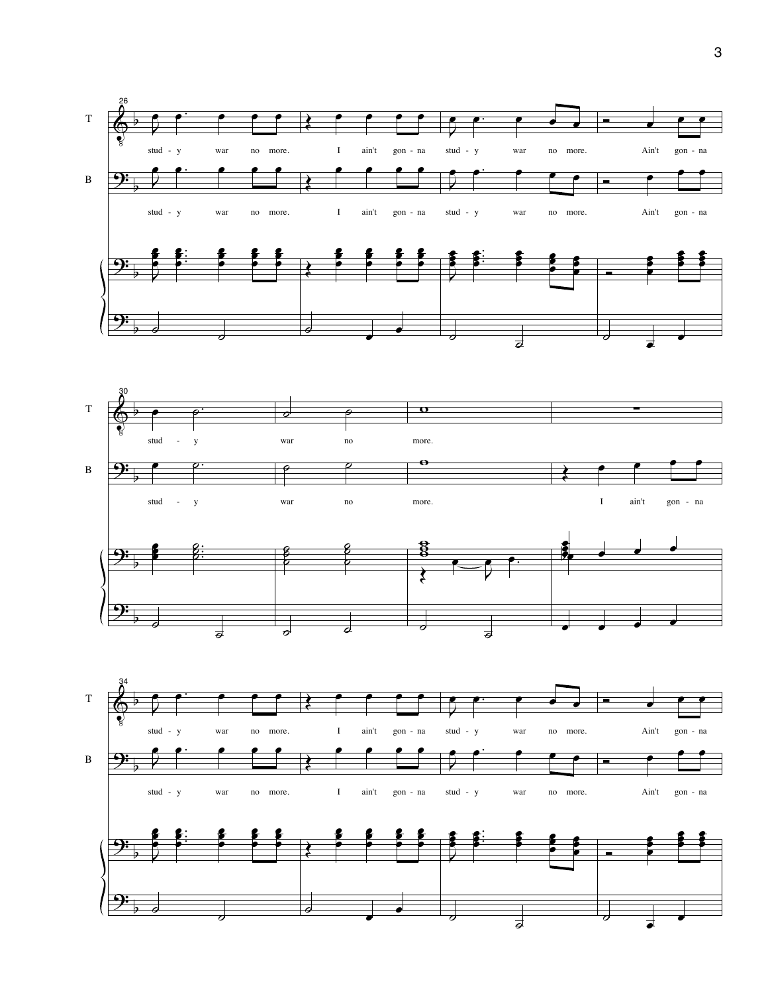



 $\overline{a}$